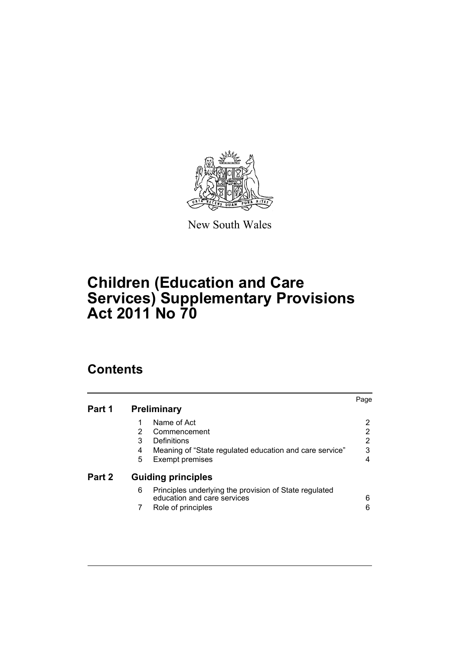

New South Wales

# **Children (Education and Care Services) Supplementary Provisions Act 2011 No 70**

# **Contents**

|   |                                                                                       | Page                                            |
|---|---------------------------------------------------------------------------------------|-------------------------------------------------|
|   | Name of Act                                                                           | 2                                               |
| 2 | Commencement                                                                          | 2                                               |
| 3 | Definitions                                                                           | 2                                               |
| 4 | Meaning of "State regulated education and care service"                               | 3                                               |
| 5 | <b>Exempt premises</b>                                                                | 4                                               |
|   |                                                                                       |                                                 |
| 6 | Principles underlying the provision of State regulated<br>education and care services | 6                                               |
|   | Role of principles                                                                    | 6                                               |
|   |                                                                                       | <b>Preliminary</b><br><b>Guiding principles</b> |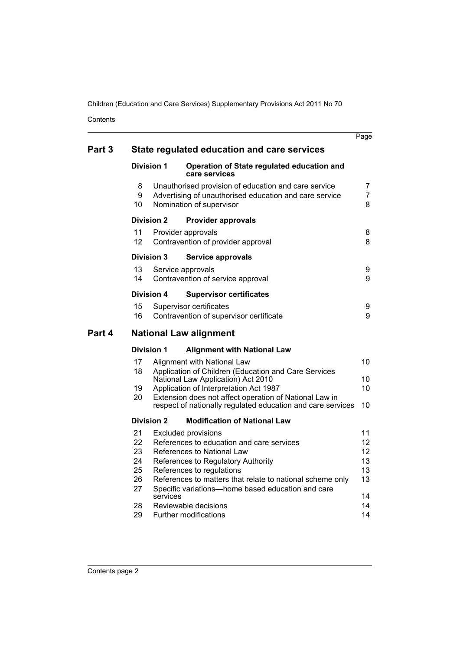Contents

|        |                                                    |                   |                                                                                                                                                                                                                                                                                                                                                    | Page                                               |
|--------|----------------------------------------------------|-------------------|----------------------------------------------------------------------------------------------------------------------------------------------------------------------------------------------------------------------------------------------------------------------------------------------------------------------------------------------------|----------------------------------------------------|
| Part 3 |                                                    |                   | State regulated education and care services                                                                                                                                                                                                                                                                                                        |                                                    |
|        |                                                    | <b>Division 1</b> | Operation of State regulated education and<br>care services                                                                                                                                                                                                                                                                                        |                                                    |
|        | 8<br>9<br>10                                       |                   | Unauthorised provision of education and care service<br>Advertising of unauthorised education and care service<br>Nomination of supervisor                                                                                                                                                                                                         | $\overline{7}$<br>$\overline{7}$<br>8              |
|        |                                                    | <b>Division 2</b> | <b>Provider approvals</b>                                                                                                                                                                                                                                                                                                                          |                                                    |
|        | 11<br>12                                           |                   | Provider approvals<br>Contravention of provider approval                                                                                                                                                                                                                                                                                           | 8<br>8                                             |
|        |                                                    | Division 3        | Service approvals                                                                                                                                                                                                                                                                                                                                  |                                                    |
|        | 13<br>14                                           |                   | Service approvals<br>Contravention of service approval                                                                                                                                                                                                                                                                                             | 9<br>9                                             |
|        |                                                    | <b>Division 4</b> | <b>Supervisor certificates</b>                                                                                                                                                                                                                                                                                                                     |                                                    |
|        | 15<br>16                                           |                   | Supervisor certificates<br>Contravention of supervisor certificate                                                                                                                                                                                                                                                                                 | 9<br>9                                             |
| Part 4 |                                                    |                   | <b>National Law alignment</b>                                                                                                                                                                                                                                                                                                                      |                                                    |
|        |                                                    | <b>Division 1</b> | <b>Alignment with National Law</b>                                                                                                                                                                                                                                                                                                                 |                                                    |
|        | 17<br>18                                           |                   | Alignment with National Law<br>Application of Children (Education and Care Services<br>National Law Application) Act 2010                                                                                                                                                                                                                          | 10<br>10                                           |
|        | 19<br>20                                           |                   | Application of Interpretation Act 1987<br>Extension does not affect operation of National Law in<br>respect of nationally regulated education and care services                                                                                                                                                                                    | 10<br>10                                           |
|        |                                                    | <b>Division 2</b> | <b>Modification of National Law</b>                                                                                                                                                                                                                                                                                                                |                                                    |
|        | 21<br>22<br>23<br>24<br>25<br>26<br>27<br>28<br>29 | services          | <b>Excluded provisions</b><br>References to education and care services<br>References to National Law<br>References to Regulatory Authority<br>References to regulations<br>References to matters that relate to national scheme only<br>Specific variations-home based education and care<br>Reviewable decisions<br><b>Further modifications</b> | 11<br>12<br>12<br>13<br>13<br>13<br>14<br>14<br>14 |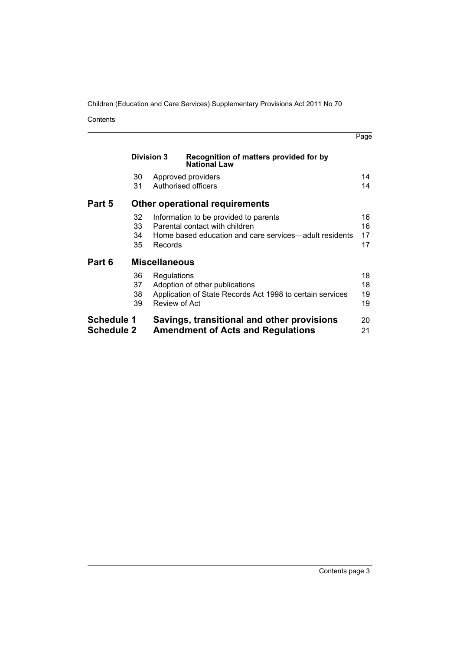Contents

|                                        | <b>Division 3</b>    | Recognition of matters provided for by<br><b>National Law</b>                                                                                |                      |
|----------------------------------------|----------------------|----------------------------------------------------------------------------------------------------------------------------------------------|----------------------|
|                                        | 30<br>31             | Approved providers<br>Authorised officers                                                                                                    | 14<br>14             |
| Part 5                                 |                      | <b>Other operational requirements</b>                                                                                                        |                      |
|                                        | 32<br>33<br>34<br>35 | Information to be provided to parents<br>Parental contact with children<br>Home based education and care services—adult residents<br>Records | 16<br>16<br>17<br>17 |
| Part 6                                 |                      | <b>Miscellaneous</b>                                                                                                                         |                      |
|                                        | 36<br>37<br>38<br>39 | Regulations<br>Adoption of other publications<br>Application of State Records Act 1998 to certain services<br>Review of Act                  | 18<br>18<br>19<br>19 |
| <b>Schedule 1</b><br><b>Schedule 2</b> |                      | Savings, transitional and other provisions<br><b>Amendment of Acts and Regulations</b>                                                       | 20<br>21             |

Page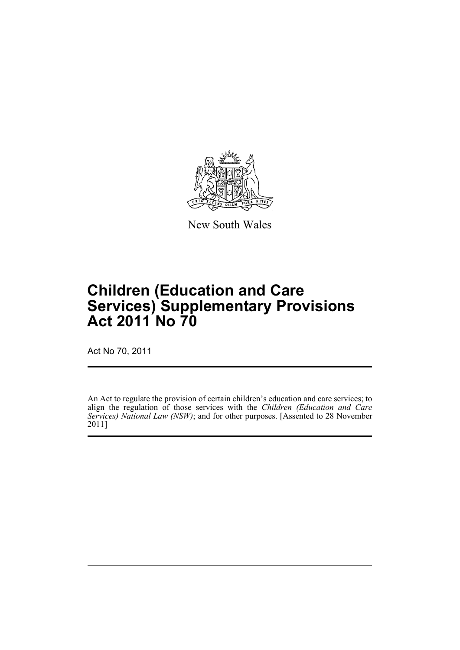

New South Wales

# **Children (Education and Care Services) Supplementary Provisions Act 2011 No 70**

Act No 70, 2011

An Act to regulate the provision of certain children's education and care services; to align the regulation of those services with the *Children (Education and Care Services) National Law (NSW)*; and for other purposes. [Assented to 28 November 2011]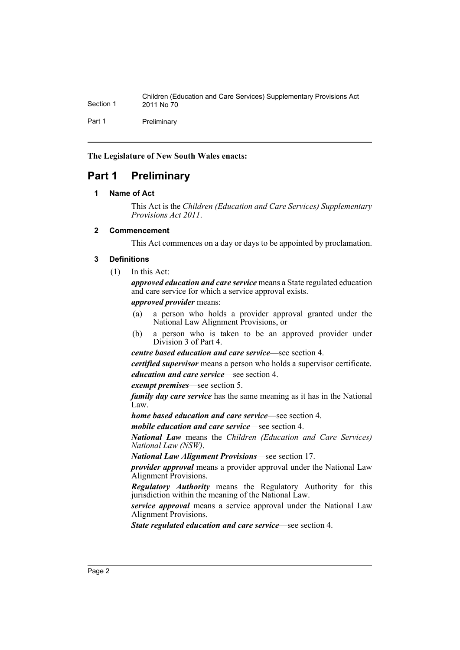Children (Education and Care Services) Supplementary Provisions Act Section 1 2011 No 70 Part 1 Preliminary

**The Legislature of New South Wales enacts:**

# <span id="page-4-1"></span><span id="page-4-0"></span>**Part 1 Preliminary**

### **1 Name of Act**

This Act is the *Children (Education and Care Services) Supplementary Provisions Act 2011*.

### <span id="page-4-2"></span>**2 Commencement**

This Act commences on a day or days to be appointed by proclamation.

### <span id="page-4-3"></span>**3 Definitions**

(1) In this Act:

*approved education and care service* means a State regulated education and care service for which a service approval exists.

*approved provider* means:

- (a) a person who holds a provider approval granted under the National Law Alignment Provisions, or
- (b) a person who is taken to be an approved provider under Division 3 of Part 4.

*centre based education and care service*—see section 4.

*certified supervisor* means a person who holds a supervisor certificate. *education and care service*—see section 4.

*exempt premises*—see section 5.

*family day care service* has the same meaning as it has in the National Law.

*home based education and care service*—see section 4.

*mobile education and care service*—see section 4.

*National Law* means the *Children (Education and Care Services) National Law (NSW)*.

*National Law Alignment Provisions*—see section 17.

*provider approval* means a provider approval under the National Law Alignment Provisions.

*Regulatory Authority* means the Regulatory Authority for this jurisdiction within the meaning of the National Law.

*service approval* means a service approval under the National Law Alignment Provisions.

*State regulated education and care service*—see section 4.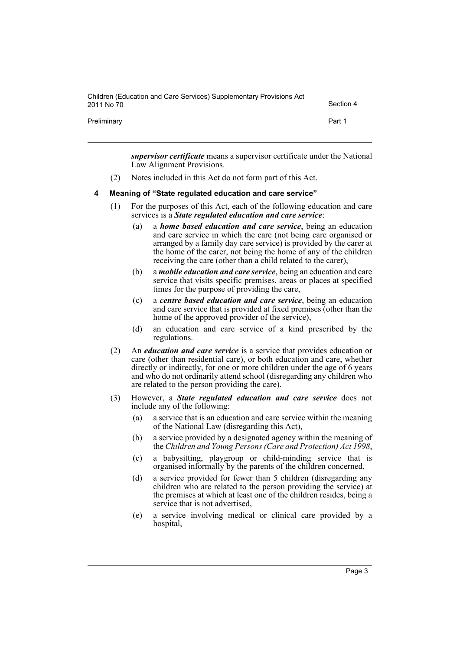| Children (Education and Care Services) Supplementary Provisions Act<br>2011 No 70 | Section 4 |
|-----------------------------------------------------------------------------------|-----------|
| Preliminary                                                                       | Part 1    |

*supervisor certificate* means a supervisor certificate under the National Law Alignment Provisions.

(2) Notes included in this Act do not form part of this Act.

### <span id="page-5-0"></span>**4 Meaning of "State regulated education and care service"**

- (1) For the purposes of this Act, each of the following education and care services is a *State regulated education and care service*:
	- (a) a *home based education and care service*, being an education and care service in which the care (not being care organised or arranged by a family day care service) is provided by the carer at the home of the carer, not being the home of any of the children receiving the care (other than a child related to the carer),
	- (b) a *mobile education and care service*, being an education and care service that visits specific premises, areas or places at specified times for the purpose of providing the care,
	- (c) a *centre based education and care service*, being an education and care service that is provided at fixed premises (other than the home of the approved provider of the service),
	- (d) an education and care service of a kind prescribed by the regulations.
- (2) An *education and care service* is a service that provides education or care (other than residential care), or both education and care, whether directly or indirectly, for one or more children under the age of 6 years and who do not ordinarily attend school (disregarding any children who are related to the person providing the care).
- (3) However, a *State regulated education and care service* does not include any of the following:
	- (a) a service that is an education and care service within the meaning of the National Law (disregarding this Act),
	- (b) a service provided by a designated agency within the meaning of the *Children and Young Persons (Care and Protection) Act 1998*,
	- (c) a babysitting, playgroup or child-minding service that is organised informally by the parents of the children concerned,
	- (d) a service provided for fewer than 5 children (disregarding any children who are related to the person providing the service) at the premises at which at least one of the children resides, being a service that is not advertised,
	- (e) a service involving medical or clinical care provided by a hospital,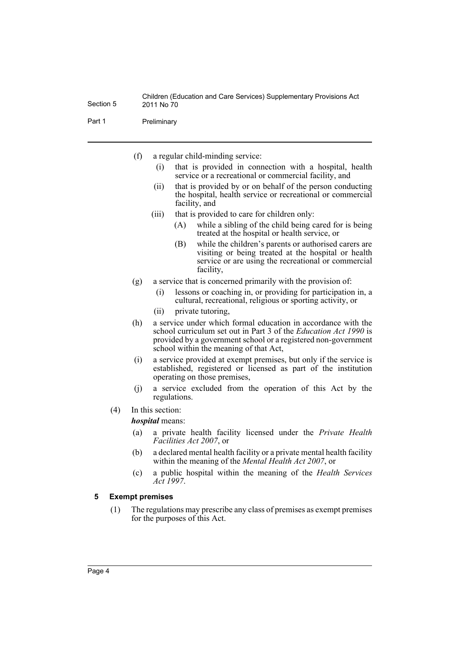Part 1 Preliminary

- (f) a regular child-minding service:
	- (i) that is provided in connection with a hospital, health service or a recreational or commercial facility, and
	- (ii) that is provided by or on behalf of the person conducting the hospital, health service or recreational or commercial facility, and
	- (iii) that is provided to care for children only:
		- (A) while a sibling of the child being cared for is being treated at the hospital or health service, or
		- (B) while the children's parents or authorised carers are visiting or being treated at the hospital or health service or are using the recreational or commercial facility,
- (g) a service that is concerned primarily with the provision of:
	- (i) lessons or coaching in, or providing for participation in, a cultural, recreational, religious or sporting activity, or
	- (ii) private tutoring,
- (h) a service under which formal education in accordance with the school curriculum set out in Part 3 of the *Education Act 1990* is provided by a government school or a registered non-government school within the meaning of that Act,
- (i) a service provided at exempt premises, but only if the service is established, registered or licensed as part of the institution operating on those premises,
- (j) a service excluded from the operation of this Act by the regulations.
- (4) In this section:

*hospital* means:

- (a) a private health facility licensed under the *Private Health Facilities Act 2007*, or
- (b) a declared mental health facility or a private mental health facility within the meaning of the *Mental Health Act 2007*, or
- (c) a public hospital within the meaning of the *Health Services Act 1997*.

### <span id="page-6-0"></span>**5 Exempt premises**

(1) The regulations may prescribe any class of premises as exempt premises for the purposes of this Act.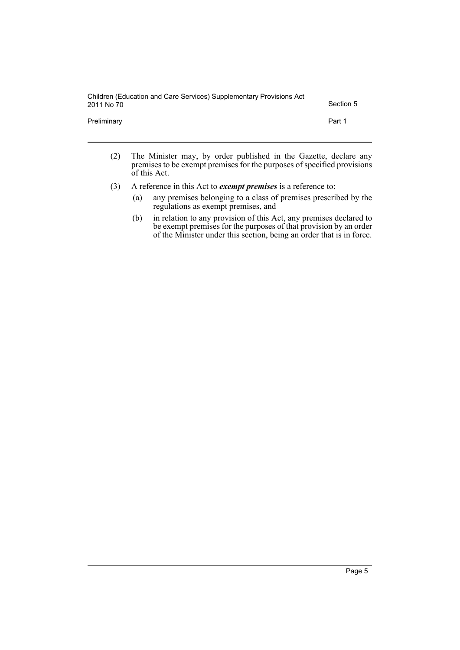| Children (Education and Care Services) Supplementary Provisions Act<br>2011 No 70 | Section 5 |
|-----------------------------------------------------------------------------------|-----------|
| Preliminary                                                                       | Part 1    |

- (2) The Minister may, by order published in the Gazette, declare any premises to be exempt premises for the purposes of specified provisions of this Act.
- (3) A reference in this Act to *exempt premises* is a reference to:
	- (a) any premises belonging to a class of premises prescribed by the regulations as exempt premises, and
	- (b) in relation to any provision of this Act, any premises declared to be exempt premises for the purposes of that provision by an order of the Minister under this section, being an order that is in force.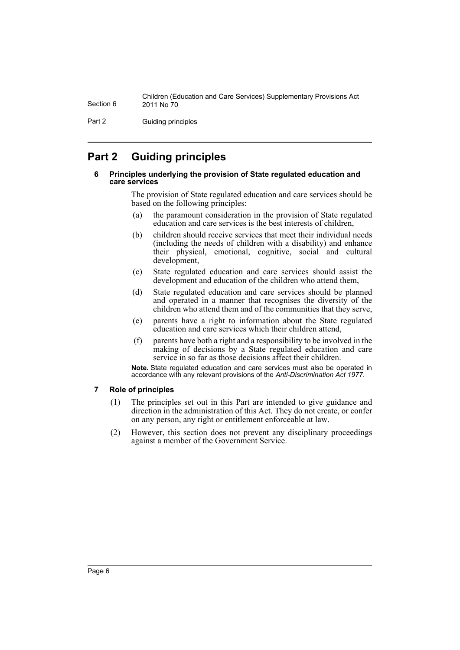Part 2 Guiding principles

# <span id="page-8-1"></span><span id="page-8-0"></span>**Part 2 Guiding principles**

### **6 Principles underlying the provision of State regulated education and care services**

The provision of State regulated education and care services should be based on the following principles:

- (a) the paramount consideration in the provision of State regulated education and care services is the best interests of children,
- (b) children should receive services that meet their individual needs (including the needs of children with a disability) and enhance their physical, emotional, cognitive, social and cultural development,
- (c) State regulated education and care services should assist the development and education of the children who attend them,
- (d) State regulated education and care services should be planned and operated in a manner that recognises the diversity of the children who attend them and of the communities that they serve,
- (e) parents have a right to information about the State regulated education and care services which their children attend,
- (f) parents have both a right and a responsibility to be involved in the making of decisions by a State regulated education and care service in so far as those decisions affect their children.

**Note.** State regulated education and care services must also be operated in accordance with any relevant provisions of the *Anti-Discrimination Act 1977*.

### <span id="page-8-2"></span>**7 Role of principles**

- (1) The principles set out in this Part are intended to give guidance and direction in the administration of this Act. They do not create, or confer on any person, any right or entitlement enforceable at law.
- (2) However, this section does not prevent any disciplinary proceedings against a member of the Government Service.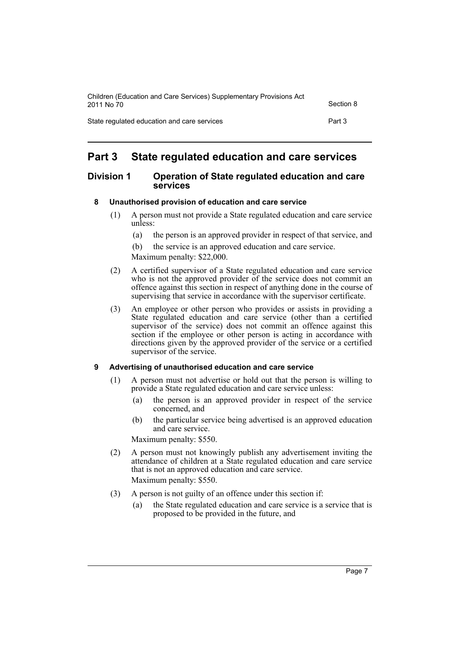| Children (Education and Care Services) Supplementary Provisions Act<br>2011 No 70 | Section 8 |
|-----------------------------------------------------------------------------------|-----------|
| State regulated education and care services                                       | Part 3    |

# <span id="page-9-0"></span>**Part 3 State regulated education and care services**

### <span id="page-9-1"></span>**Division 1 Operation of State regulated education and care services**

# <span id="page-9-2"></span>**8 Unauthorised provision of education and care service**

- (1) A person must not provide a State regulated education and care service unless:
	- (a) the person is an approved provider in respect of that service, and
	- (b) the service is an approved education and care service.
	- Maximum penalty: \$22,000.
- (2) A certified supervisor of a State regulated education and care service who is not the approved provider of the service does not commit an offence against this section in respect of anything done in the course of supervising that service in accordance with the supervisor certificate.
- (3) An employee or other person who provides or assists in providing a State regulated education and care service (other than a certified supervisor of the service) does not commit an offence against this section if the employee or other person is acting in accordance with directions given by the approved provider of the service or a certified supervisor of the service.

### <span id="page-9-3"></span>**9 Advertising of unauthorised education and care service**

- (1) A person must not advertise or hold out that the person is willing to provide a State regulated education and care service unless:
	- (a) the person is an approved provider in respect of the service concerned, and
	- (b) the particular service being advertised is an approved education and care service.

Maximum penalty: \$550.

- (2) A person must not knowingly publish any advertisement inviting the attendance of children at a State regulated education and care service that is not an approved education and care service. Maximum penalty: \$550.
- (3) A person is not guilty of an offence under this section if:
	- (a) the State regulated education and care service is a service that is proposed to be provided in the future, and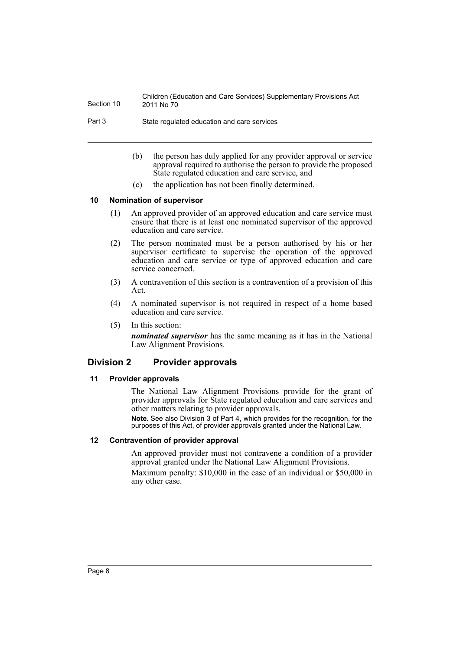Part 3 State regulated education and care services

- (b) the person has duly applied for any provider approval or service approval required to authorise the person to provide the proposed State regulated education and care service, and
- (c) the application has not been finally determined.

### <span id="page-10-0"></span>**10 Nomination of supervisor**

- (1) An approved provider of an approved education and care service must ensure that there is at least one nominated supervisor of the approved education and care service.
- (2) The person nominated must be a person authorised by his or her supervisor certificate to supervise the operation of the approved education and care service or type of approved education and care service concerned.
- (3) A contravention of this section is a contravention of a provision of this Act.
- (4) A nominated supervisor is not required in respect of a home based education and care service.
- (5) In this section:

*nominated supervisor* has the same meaning as it has in the National Law Alignment Provisions.

# <span id="page-10-1"></span>**Division 2 Provider approvals**

### <span id="page-10-2"></span>**11 Provider approvals**

The National Law Alignment Provisions provide for the grant of provider approvals for State regulated education and care services and other matters relating to provider approvals.

**Note.** See also Division 3 of Part 4, which provides for the recognition, for the purposes of this Act, of provider approvals granted under the National Law.

### <span id="page-10-3"></span>**12 Contravention of provider approval**

An approved provider must not contravene a condition of a provider approval granted under the National Law Alignment Provisions.

Maximum penalty: \$10,000 in the case of an individual or \$50,000 in any other case.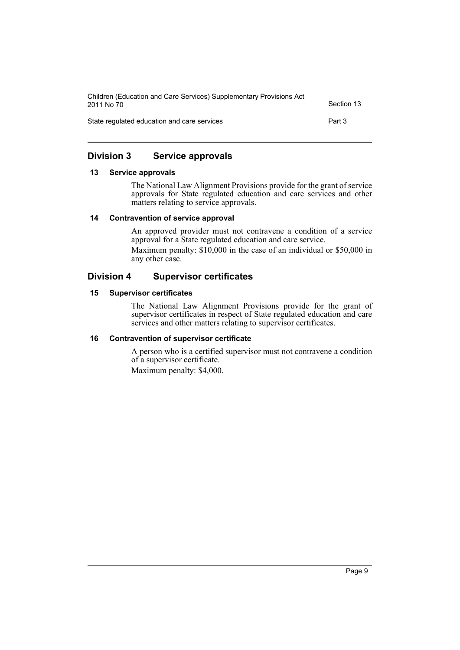| Children (Education and Care Services) Supplementary Provisions Act<br>2011 No 70 | Section 13 |
|-----------------------------------------------------------------------------------|------------|
| State regulated education and care services                                       | Part 3     |

# <span id="page-11-0"></span>**Division 3 Service approvals**

### <span id="page-11-1"></span>**13 Service approvals**

The National Law Alignment Provisions provide for the grant of service approvals for State regulated education and care services and other matters relating to service approvals.

### <span id="page-11-2"></span>**14 Contravention of service approval**

An approved provider must not contravene a condition of a service approval for a State regulated education and care service.

Maximum penalty: \$10,000 in the case of an individual or \$50,000 in any other case.

# <span id="page-11-3"></span>**Division 4 Supervisor certificates**

### <span id="page-11-4"></span>**15 Supervisor certificates**

The National Law Alignment Provisions provide for the grant of supervisor certificates in respect of State regulated education and care services and other matters relating to supervisor certificates.

# <span id="page-11-5"></span>**16 Contravention of supervisor certificate**

A person who is a certified supervisor must not contravene a condition of a supervisor certificate. Maximum penalty: \$4,000.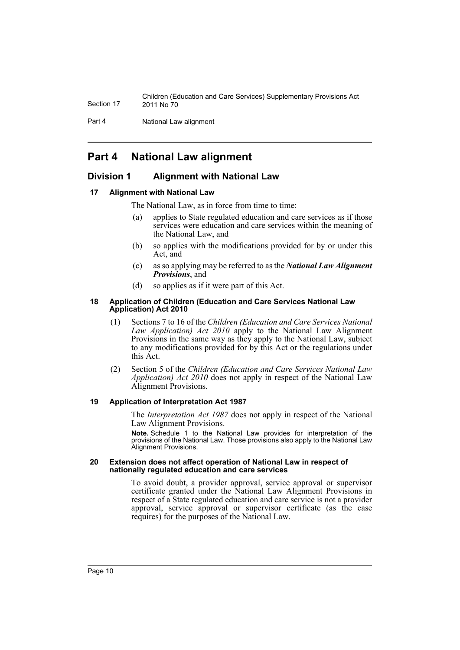Part 4 **National Law alignment** 

# <span id="page-12-0"></span>**Part 4 National Law alignment**

# <span id="page-12-1"></span>**Division 1 Alignment with National Law**

### <span id="page-12-2"></span>**17 Alignment with National Law**

The National Law, as in force from time to time:

- (a) applies to State regulated education and care services as if those services were education and care services within the meaning of the National Law, and
- (b) so applies with the modifications provided for by or under this Act, and
- (c) as so applying may be referred to as the *National Law Alignment Provisions*, and
- (d) so applies as if it were part of this Act.

### <span id="page-12-3"></span>**18 Application of Children (Education and Care Services National Law Application) Act 2010**

- (1) Sections 7 to 16 of the *Children (Education and Care Services National Law Application) Act 2010* apply to the National Law Alignment Provisions in the same way as they apply to the National Law, subject to any modifications provided for by this Act or the regulations under this Act.
- (2) Section 5 of the *Children (Education and Care Services National Law Application) Act 2010* does not apply in respect of the National Law Alignment Provisions.

### <span id="page-12-4"></span>**19 Application of Interpretation Act 1987**

The *Interpretation Act 1987* does not apply in respect of the National Law Alignment Provisions.

**Note.** Schedule 1 to the National Law provides for interpretation of the provisions of the National Law. Those provisions also apply to the National Law Alignment Provisions.

#### <span id="page-12-5"></span>**20 Extension does not affect operation of National Law in respect of nationally regulated education and care services**

To avoid doubt, a provider approval, service approval or supervisor certificate granted under the National Law Alignment Provisions in respect of a State regulated education and care service is not a provider approval, service approval or supervisor certificate (as the case requires) for the purposes of the National Law.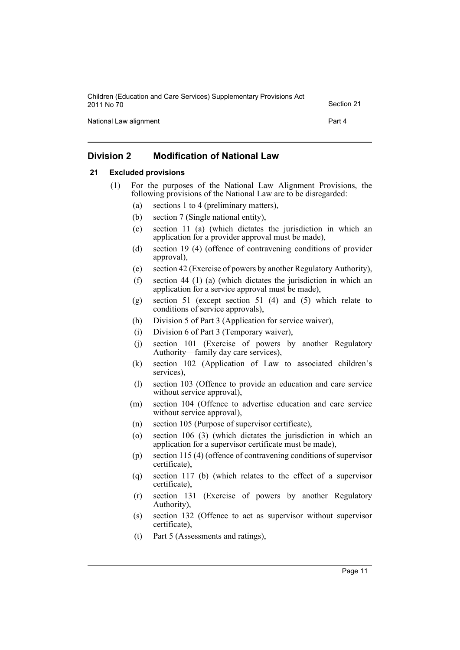| Children (Education and Care Services) Supplementary Provisions Act<br>2011 No 70 | Section 21 |
|-----------------------------------------------------------------------------------|------------|
| National Law alignment                                                            | Part 4     |

# <span id="page-13-0"></span>**Division 2 Modification of National Law**

### <span id="page-13-1"></span>**21 Excluded provisions**

- (1) For the purposes of the National Law Alignment Provisions, the following provisions of the National Law are to be disregarded:
	- (a) sections 1 to 4 (preliminary matters),
	- (b) section 7 (Single national entity),
	- (c) section 11 (a) (which dictates the jurisdiction in which an application for a provider approval must be made),
	- (d) section 19 (4) (offence of contravening conditions of provider approval),
	- (e) section 42 (Exercise of powers by another Regulatory Authority),
	- (f) section 44 (1) (a) (which dictates the jurisdiction in which an application for a service approval must be made),
	- (g) section 51 (except section 51 (4) and (5) which relate to conditions of service approvals),
	- (h) Division 5 of Part 3 (Application for service waiver),
	- (i) Division 6 of Part 3 (Temporary waiver),
	- (j) section 101 (Exercise of powers by another Regulatory Authority—family day care services),
	- (k) section 102 (Application of Law to associated children's services),
	- (l) section 103 (Offence to provide an education and care service without service approval),
	- (m) section 104 (Offence to advertise education and care service without service approval),
	- (n) section 105 (Purpose of supervisor certificate),
	- (o) section 106 (3) (which dictates the jurisdiction in which an application for a supervisor certificate must be made),
	- (p) section 115 (4) (offence of contravening conditions of supervisor certificate),
	- (q) section 117 (b) (which relates to the effect of a supervisor certificate),
	- (r) section 131 (Exercise of powers by another Regulatory Authority),
	- (s) section 132 (Offence to act as supervisor without supervisor certificate),
	- (t) Part 5 (Assessments and ratings),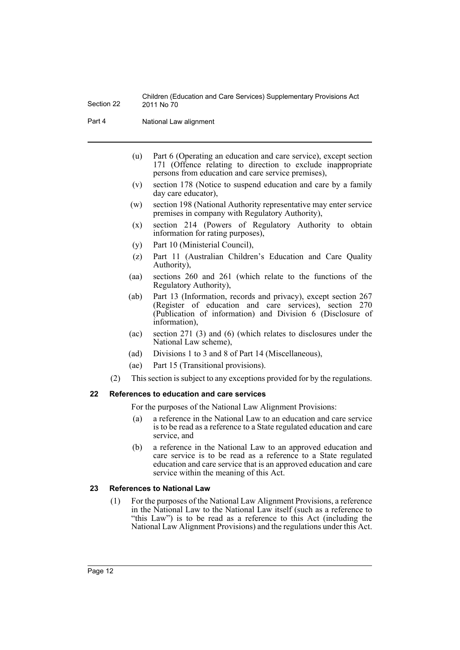Part 4 **National Law alignment** 

- (u) Part 6 (Operating an education and care service), except section 171 (Offence relating to direction to exclude inappropriate persons from education and care service premises),
- (v) section 178 (Notice to suspend education and care by a family day care educator),
- (w) section 198 (National Authority representative may enter service premises in company with Regulatory Authority),
- (x) section 214 (Powers of Regulatory Authority to obtain information for rating purposes),
- (y) Part 10 (Ministerial Council),
- (z) Part 11 (Australian Children's Education and Care Quality Authority),
- (aa) sections 260 and 261 (which relate to the functions of the Regulatory Authority),
- (ab) Part 13 (Information, records and privacy), except section 267 (Register of education and care services), section 270 (Publication of information) and Division 6 (Disclosure of information),
- (ac) section 271 (3) and (6) (which relates to disclosures under the National Law scheme),
- (ad) Divisions 1 to 3 and 8 of Part 14 (Miscellaneous),
- (ae) Part 15 (Transitional provisions).
- (2) This section is subject to any exceptions provided for by the regulations.

### <span id="page-14-0"></span>**22 References to education and care services**

For the purposes of the National Law Alignment Provisions:

- (a) a reference in the National Law to an education and care service is to be read as a reference to a State regulated education and care service, and
- (b) a reference in the National Law to an approved education and care service is to be read as a reference to a State regulated education and care service that is an approved education and care service within the meaning of this Act.

### <span id="page-14-1"></span>**23 References to National Law**

(1) For the purposes of the National Law Alignment Provisions, a reference in the National Law to the National Law itself (such as a reference to "this Law") is to be read as a reference to this Act (including the National Law Alignment Provisions) and the regulations under this Act.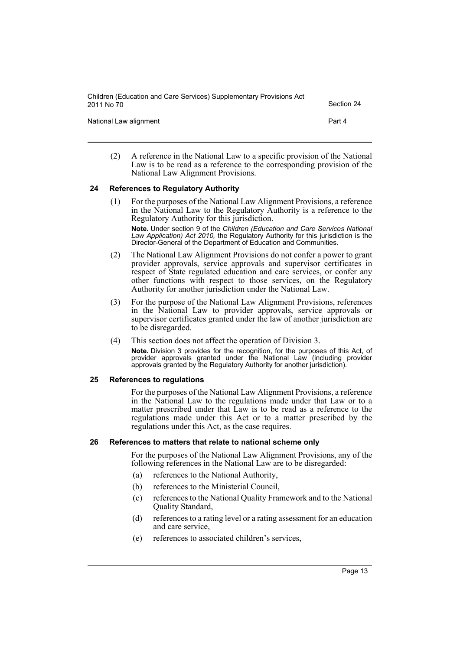National Law alignment **Part 4** 

(2) A reference in the National Law to a specific provision of the National Law is to be read as a reference to the corresponding provision of the National Law Alignment Provisions.

### <span id="page-15-0"></span>**24 References to Regulatory Authority**

- (1) For the purposes of the National Law Alignment Provisions, a reference in the National Law to the Regulatory Authority is a reference to the Regulatory Authority for this jurisdiction. **Note.** Under section 9 of the *Children (Education and Care Services National Law Application) Act 2010,* the Regulatory Authority for this jurisdiction is the Director-General of the Department of Education and Communities.
- (2) The National Law Alignment Provisions do not confer a power to grant provider approvals, service approvals and supervisor certificates in respect of State regulated education and care services, or confer any other functions with respect to those services, on the Regulatory Authority for another jurisdiction under the National Law.
- (3) For the purpose of the National Law Alignment Provisions, references in the National Law to provider approvals, service approvals or supervisor certificates granted under the law of another jurisdiction are to be disregarded.
- (4) This section does not affect the operation of Division 3. **Note.** Division 3 provides for the recognition, for the purposes of this Act, of provider approvals granted under the National Law (including provider approvals granted by the Regulatory Authority for another jurisdiction).

### <span id="page-15-1"></span>**25 References to regulations**

For the purposes of the National Law Alignment Provisions, a reference in the National Law to the regulations made under that Law or to a matter prescribed under that Law is to be read as a reference to the regulations made under this Act or to a matter prescribed by the regulations under this Act, as the case requires.

### <span id="page-15-2"></span>**26 References to matters that relate to national scheme only**

For the purposes of the National Law Alignment Provisions, any of the following references in the National Law are to be disregarded:

- (a) references to the National Authority,
- (b) references to the Ministerial Council,
- (c) references to the National Quality Framework and to the National Quality Standard,
- (d) references to a rating level or a rating assessment for an education and care service,
- (e) references to associated children's services,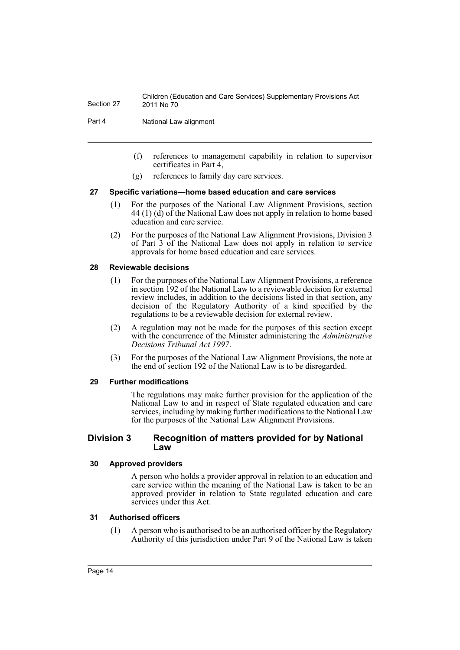Part 4 **National Law alignment** 

- (f) references to management capability in relation to supervisor certificates in Part 4,
- (g) references to family day care services.

### <span id="page-16-0"></span>**27 Specific variations—home based education and care services**

- (1) For the purposes of the National Law Alignment Provisions, section  $44$  (1) (d) of the National Law does not apply in relation to home based education and care service.
- (2) For the purposes of the National Law Alignment Provisions, Division 3 of Part 3 of the National Law does not apply in relation to service approvals for home based education and care services.

### <span id="page-16-1"></span>**28 Reviewable decisions**

- (1) For the purposes of the National Law Alignment Provisions, a reference in section 192 of the National Law to a reviewable decision for external review includes, in addition to the decisions listed in that section, any decision of the Regulatory Authority of a kind specified by the regulations to be a reviewable decision for external review.
- (2) A regulation may not be made for the purposes of this section except with the concurrence of the Minister administering the *Administrative Decisions Tribunal Act 1997*.
- (3) For the purposes of the National Law Alignment Provisions, the note at the end of section 192 of the National Law is to be disregarded.

### <span id="page-16-2"></span>**29 Further modifications**

The regulations may make further provision for the application of the National Law to and in respect of State regulated education and care services, including by making further modifications to the National Law for the purposes of the National Law Alignment Provisions.

### <span id="page-16-3"></span>**Division 3 Recognition of matters provided for by National Law**

### <span id="page-16-4"></span>**30 Approved providers**

A person who holds a provider approval in relation to an education and care service within the meaning of the National Law is taken to be an approved provider in relation to State regulated education and care services under this Act.

### <span id="page-16-5"></span>**31 Authorised officers**

(1) A person who is authorised to be an authorised officer by the Regulatory Authority of this jurisdiction under Part 9 of the National Law is taken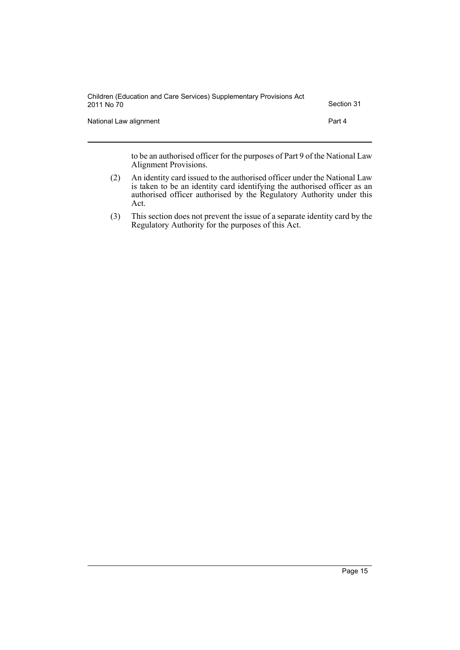| Children (Education and Care Services) Supplementary Provisions Act<br>2011 No 70 | Section 31 |
|-----------------------------------------------------------------------------------|------------|
| National Law alignment                                                            | Part 4     |

to be an authorised officer for the purposes of Part 9 of the National Law Alignment Provisions.

- (2) An identity card issued to the authorised officer under the National Law is taken to be an identity card identifying the authorised officer as an authorised officer authorised by the Regulatory Authority under this Act.
- (3) This section does not prevent the issue of a separate identity card by the Regulatory Authority for the purposes of this Act.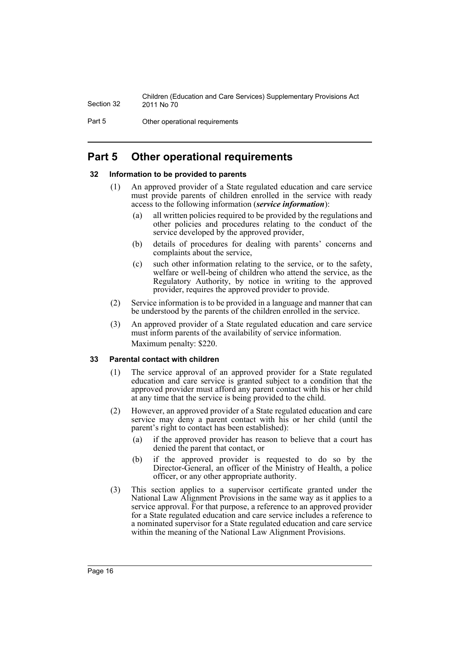Part 5 Other operational requirements

# <span id="page-18-0"></span>**Part 5 Other operational requirements**

### <span id="page-18-1"></span>**32 Information to be provided to parents**

- (1) An approved provider of a State regulated education and care service must provide parents of children enrolled in the service with ready access to the following information (*service information*):
	- (a) all written policies required to be provided by the regulations and other policies and procedures relating to the conduct of the service developed by the approved provider,
	- (b) details of procedures for dealing with parents' concerns and complaints about the service,
	- (c) such other information relating to the service, or to the safety, welfare or well-being of children who attend the service, as the Regulatory Authority, by notice in writing to the approved provider, requires the approved provider to provide.
- (2) Service information is to be provided in a language and manner that can be understood by the parents of the children enrolled in the service.
- (3) An approved provider of a State regulated education and care service must inform parents of the availability of service information. Maximum penalty: \$220.

### <span id="page-18-2"></span>**33 Parental contact with children**

- (1) The service approval of an approved provider for a State regulated education and care service is granted subject to a condition that the approved provider must afford any parent contact with his or her child at any time that the service is being provided to the child.
- (2) However, an approved provider of a State regulated education and care service may deny a parent contact with his or her child (until the parent's right to contact has been established):
	- (a) if the approved provider has reason to believe that a court has denied the parent that contact, or
	- (b) if the approved provider is requested to do so by the Director-General, an officer of the Ministry of Health, a police officer, or any other appropriate authority.
- (3) This section applies to a supervisor certificate granted under the National Law Alignment Provisions in the same way as it applies to a service approval. For that purpose, a reference to an approved provider for a State regulated education and care service includes a reference to a nominated supervisor for a State regulated education and care service within the meaning of the National Law Alignment Provisions.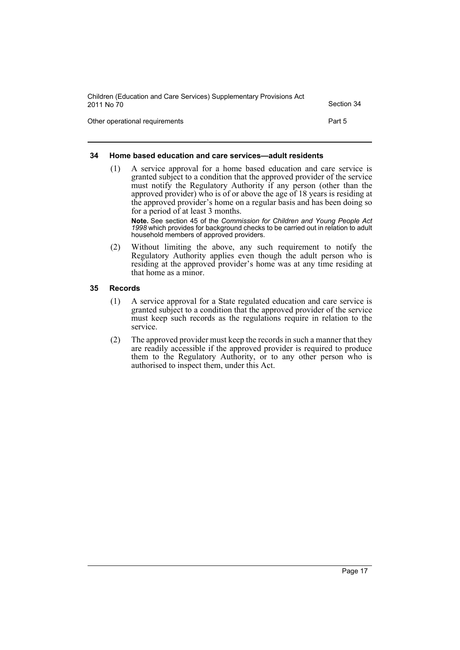| Children (Education and Care Services) Supplementary Provisions Act<br>2011 No 70 | Section 34 |
|-----------------------------------------------------------------------------------|------------|
| Other operational requirements                                                    | Part 5     |

### <span id="page-19-0"></span>**34 Home based education and care services—adult residents**

(1) A service approval for a home based education and care service is granted subject to a condition that the approved provider of the service must notify the Regulatory Authority if any person (other than the approved provider) who is of or above the age of 18 years is residing at the approved provider's home on a regular basis and has been doing so for a period of at least 3 months.

**Note.** See section 45 of the *Commission for Children and Young People Act 1998* which provides for background checks to be carried out in relation to adult household members of approved providers.

(2) Without limiting the above, any such requirement to notify the Regulatory Authority applies even though the adult person who is residing at the approved provider's home was at any time residing at that home as a minor.

### <span id="page-19-1"></span>**35 Records**

- (1) A service approval for a State regulated education and care service is granted subject to a condition that the approved provider of the service must keep such records as the regulations require in relation to the service.
- (2) The approved provider must keep the records in such a manner that they are readily accessible if the approved provider is required to produce them to the Regulatory Authority, or to any other person who is authorised to inspect them, under this Act.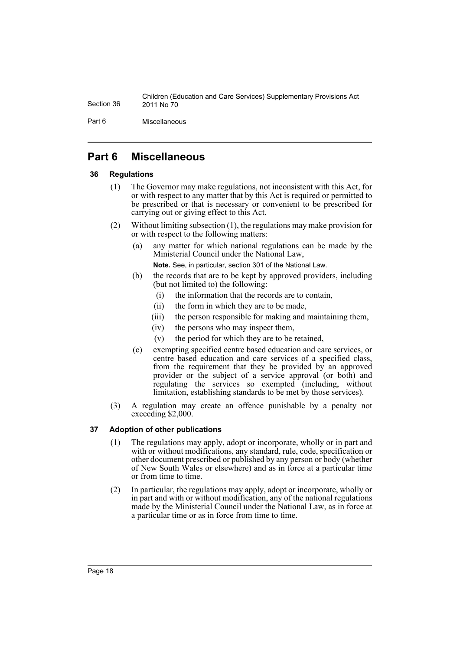Part 6 Miscellaneous

# <span id="page-20-0"></span>**Part 6 Miscellaneous**

### <span id="page-20-1"></span>**36 Regulations**

- (1) The Governor may make regulations, not inconsistent with this Act, for or with respect to any matter that by this Act is required or permitted to be prescribed or that is necessary or convenient to be prescribed for carrying out or giving effect to this Act.
- (2) Without limiting subsection (1), the regulations may make provision for or with respect to the following matters:
	- (a) any matter for which national regulations can be made by the Ministerial Council under the National Law,

**Note.** See, in particular, section 301 of the National Law.

- (b) the records that are to be kept by approved providers, including (but not limited to) the following:
	- (i) the information that the records are to contain,
	- (ii) the form in which they are to be made,
	- (iii) the person responsible for making and maintaining them,
	- (iv) the persons who may inspect them,
	- (v) the period for which they are to be retained,
- (c) exempting specified centre based education and care services, or centre based education and care services of a specified class, from the requirement that they be provided by an approved provider or the subject of a service approval (or both) and regulating the services so exempted (including, without limitation, establishing standards to be met by those services).
- (3) A regulation may create an offence punishable by a penalty not exceeding \$2,000.

# <span id="page-20-2"></span>**37 Adoption of other publications**

- (1) The regulations may apply, adopt or incorporate, wholly or in part and with or without modifications, any standard, rule, code, specification or other document prescribed or published by any person or body (whether of New South Wales or elsewhere) and as in force at a particular time or from time to time.
- (2) In particular, the regulations may apply, adopt or incorporate, wholly or in part and with or without modification, any of the national regulations made by the Ministerial Council under the National Law, as in force at a particular time or as in force from time to time.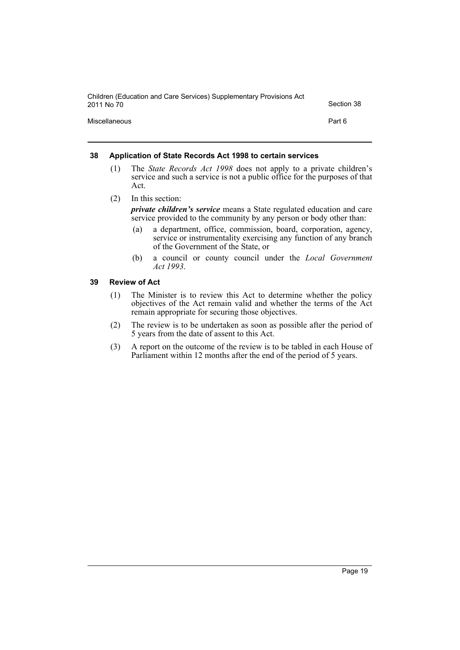| Children (Education and Care Services) Supplementary Provisions Act<br>2011 No 70 | Section 38 |
|-----------------------------------------------------------------------------------|------------|
| Miscellaneous                                                                     | Part 6     |

### <span id="page-21-0"></span>**38 Application of State Records Act 1998 to certain services**

- (1) The *State Records Act 1998* does not apply to a private children's service and such a service is not a public office for the purposes of that Act.
- (2) In this section:

*private children's service* means a State regulated education and care service provided to the community by any person or body other than:

- (a) a department, office, commission, board, corporation, agency, service or instrumentality exercising any function of any branch of the Government of the State, or
- (b) a council or county council under the *Local Government Act 1993*.

### <span id="page-21-1"></span>**39 Review of Act**

- (1) The Minister is to review this Act to determine whether the policy objectives of the Act remain valid and whether the terms of the Act remain appropriate for securing those objectives.
- (2) The review is to be undertaken as soon as possible after the period of 5 years from the date of assent to this Act.
- (3) A report on the outcome of the review is to be tabled in each House of Parliament within 12 months after the end of the period of 5 years.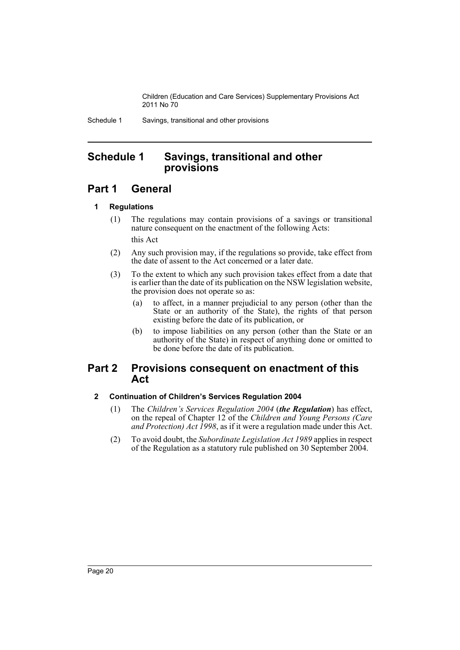Schedule 1 Savings, transitional and other provisions

# <span id="page-22-0"></span>**Schedule 1 Savings, transitional and other provisions**

# **Part 1 General**

### **1 Regulations**

- (1) The regulations may contain provisions of a savings or transitional nature consequent on the enactment of the following Acts: this Act
- (2) Any such provision may, if the regulations so provide, take effect from the date of assent to the Act concerned or a later date.
- (3) To the extent to which any such provision takes effect from a date that is earlier than the date of its publication on the NSW legislation website, the provision does not operate so as:
	- (a) to affect, in a manner prejudicial to any person (other than the State or an authority of the State), the rights of that person existing before the date of its publication, or
	- (b) to impose liabilities on any person (other than the State or an authority of the State) in respect of anything done or omitted to be done before the date of its publication.

# **Part 2 Provisions consequent on enactment of this Act**

### **2 Continuation of Children's Services Regulation 2004**

- (1) The *Children's Services Regulation 2004* (*the Regulation*) has effect, on the repeal of Chapter 12 of the *Children and Young Persons (Care and Protection) Act 1998*, as if it were a regulation made under this Act.
- (2) To avoid doubt, the *Subordinate Legislation Act 1989* applies in respect of the Regulation as a statutory rule published on 30 September 2004.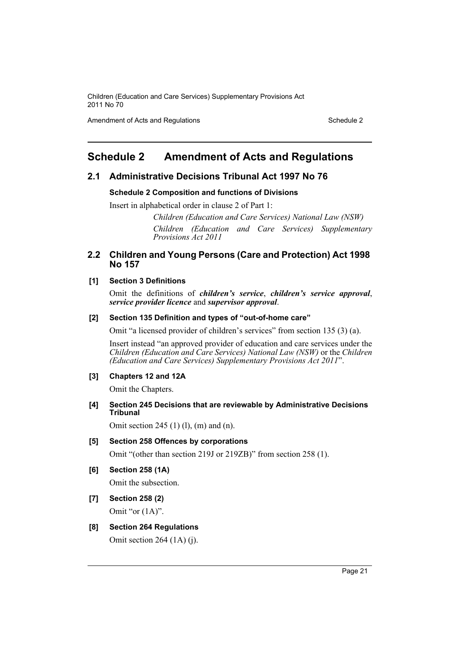Amendment of Acts and Regulations Schedule 2

# <span id="page-23-0"></span>**Schedule 2 Amendment of Acts and Regulations**

# **2.1 Administrative Decisions Tribunal Act 1997 No 76**

### **Schedule 2 Composition and functions of Divisions**

Insert in alphabetical order in clause 2 of Part 1:

*Children (Education and Care Services) National Law (NSW) Children (Education and Care Services) Supplementary Provisions Act 2011*

# **2.2 Children and Young Persons (Care and Protection) Act 1998 No 157**

### **[1] Section 3 Definitions**

Omit the definitions of *children's service*, *children's service approval*, *service provider licence* and *supervisor approval*.

### **[2] Section 135 Definition and types of "out-of-home care"**

Omit "a licensed provider of children's services" from section 135 (3) (a).

Insert instead "an approved provider of education and care services under the *Children (Education and Care Services) National Law (NSW)* or the *Children (Education and Care Services) Supplementary Provisions Act 2011*".

### **[3] Chapters 12 and 12A**

Omit the Chapters.

**[4] Section 245 Decisions that are reviewable by Administrative Decisions Tribunal**

Omit section 245 (1) (l), (m) and (n).

### **[5] Section 258 Offences by corporations**

Omit "(other than section 219J or 219ZB)" from section 258 (1).

**[6] Section 258 (1A)**

Omit the subsection.

- **[7] Section 258 (2)** Omit "or  $(1A)$ ".
- **[8] Section 264 Regulations**

Omit section 264 (1A) (j).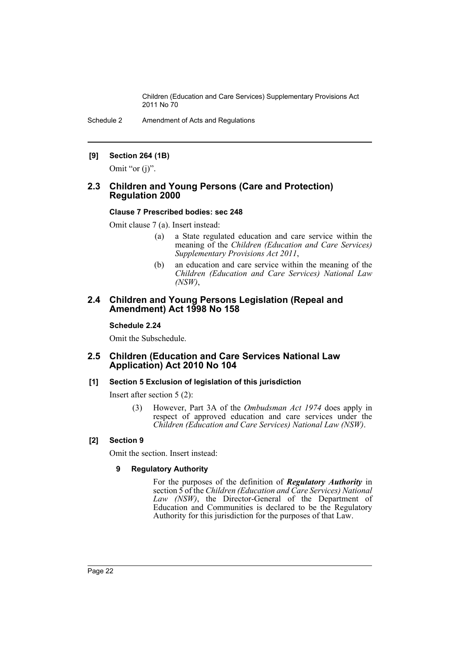Schedule 2 Amendment of Acts and Regulations

## **[9] Section 264 (1B)**

Omit "or (j)".

## **2.3 Children and Young Persons (Care and Protection) Regulation 2000**

### **Clause 7 Prescribed bodies: sec 248**

Omit clause 7 (a). Insert instead:

- (a) a State regulated education and care service within the meaning of the *Children (Education and Care Services) Supplementary Provisions Act 2011*,
- (b) an education and care service within the meaning of the *Children (Education and Care Services) National Law (NSW)*,

### **2.4 Children and Young Persons Legislation (Repeal and Amendment) Act 1998 No 158**

### **Schedule 2.24**

Omit the Subschedule.

### **2.5 Children (Education and Care Services National Law Application) Act 2010 No 104**

### **[1] Section 5 Exclusion of legislation of this jurisdiction**

Insert after section 5 (2):

(3) However, Part 3A of the *Ombudsman Act 1974* does apply in respect of approved education and care services under the *Children (Education and Care Services) National Law (NSW)*.

### **[2] Section 9**

Omit the section. Insert instead:

### **9 Regulatory Authority**

For the purposes of the definition of *Regulatory Authority* in section 5 of the *Children (Education and Care Services) National Law (NSW)*, the Director-General of the Department of Education and Communities is declared to be the Regulatory Authority for this jurisdiction for the purposes of that Law.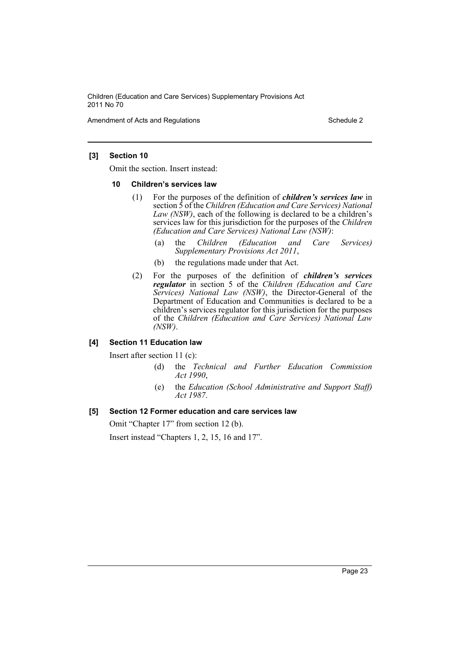Amendment of Acts and Regulations Schedule 2

### **[3] Section 10**

Omit the section. Insert instead:

#### **10 Children's services law**

- (1) For the purposes of the definition of *children's services law* in section 5 of the *Children (Education and Care Services) National Law (NSW)*, each of the following is declared to be a children's services law for this jurisdiction for the purposes of the *Children (Education and Care Services) National Law (NSW)*:
	- (a) the *Children (Education and Care Services) Supplementary Provisions Act 2011*,
	- (b) the regulations made under that Act.
- (2) For the purposes of the definition of *children's services regulator* in section 5 of the *Children (Education and Care Services) National Law (NSW)*, the Director-General of the Department of Education and Communities is declared to be a children's services regulator for this jurisdiction for the purposes of the *Children (Education and Care Services) National Law (NSW)*.

### **[4] Section 11 Education law**

Insert after section 11 (c):

- (d) the *Technical and Further Education Commission Act 1990*,
- (e) the *Education (School Administrative and Support Staff) Act 1987*.

### **[5] Section 12 Former education and care services law**

Omit "Chapter 17" from section 12 (b).

Insert instead "Chapters 1, 2, 15, 16 and 17".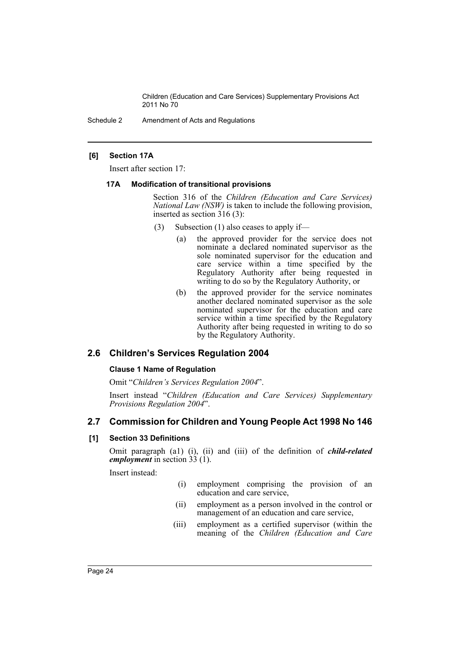Schedule 2 Amendment of Acts and Regulations

### **[6] Section 17A**

Insert after section 17:

### **17A Modification of transitional provisions**

Section 316 of the *Children (Education and Care Services) National Law (NSW)* is taken to include the following provision, inserted as section 316 (3):

- (3) Subsection (1) also ceases to apply if—
	- (a) the approved provider for the service does not nominate a declared nominated supervisor as the sole nominated supervisor for the education and care service within a time specified by the Regulatory Authority after being requested in writing to do so by the Regulatory Authority, or
	- (b) the approved provider for the service nominates another declared nominated supervisor as the sole nominated supervisor for the education and care service within a time specified by the Regulatory Authority after being requested in writing to do so by the Regulatory Authority.

# **2.6 Children's Services Regulation 2004**

### **Clause 1 Name of Regulation**

Omit "*Children's Services Regulation 2004*".

Insert instead "*Children (Education and Care Services) Supplementary Provisions Regulation 2004*".

# **2.7 Commission for Children and Young People Act 1998 No 146**

### **[1] Section 33 Definitions**

Omit paragraph (a1) (i), (ii) and (iii) of the definition of *child-related employment* in section 33 (1).

Insert instead:

- (i) employment comprising the provision of an education and care service,
- (ii) employment as a person involved in the control or management of an education and care service,
- (iii) employment as a certified supervisor (within the meaning of the *Children (Education and Care*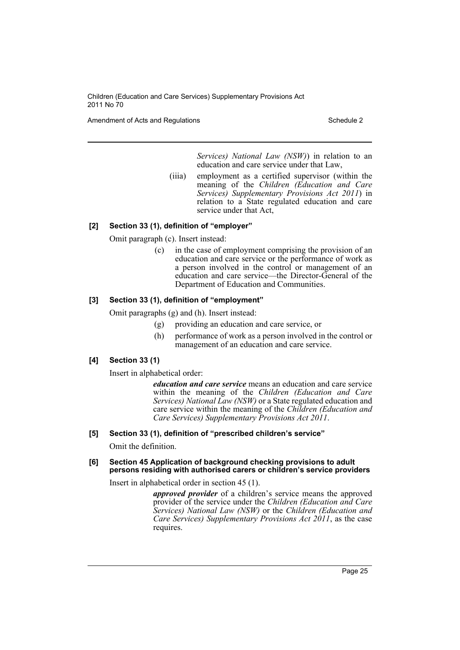Amendment of Acts and Regulations Schedule 2 and  $\frac{1}{2}$  Schedule 2

*Services) National Law (NSW)*) in relation to an education and care service under that Law,

(iiia) employment as a certified supervisor (within the meaning of the *Children (Education and Care Services) Supplementary Provisions Act 2011*) in relation to a State regulated education and care service under that Act,

## **[2] Section 33 (1), definition of "employer"**

Omit paragraph (c). Insert instead:

(c) in the case of employment comprising the provision of an education and care service or the performance of work as a person involved in the control or management of an education and care service—the Director-General of the Department of Education and Communities.

## **[3] Section 33 (1), definition of "employment"**

Omit paragraphs (g) and (h). Insert instead:

- (g) providing an education and care service, or
- (h) performance of work as a person involved in the control or management of an education and care service.

### **[4] Section 33 (1)**

Insert in alphabetical order:

*education and care service* means an education and care service within the meaning of the *Children (Education and Care Services) National Law (NSW)* or a State regulated education and care service within the meaning of the *Children (Education and Care Services) Supplementary Provisions Act 2011*.

### **[5] Section 33 (1), definition of "prescribed children's service"**

Omit the definition.

#### **[6] Section 45 Application of background checking provisions to adult persons residing with authorised carers or children's service providers**

Insert in alphabetical order in section 45 (1).

*approved provider* of a children's service means the approved provider of the service under the *Children (Education and Care Services) National Law (NSW)* or the *Children (Education and Care Services) Supplementary Provisions Act 2011*, as the case requires.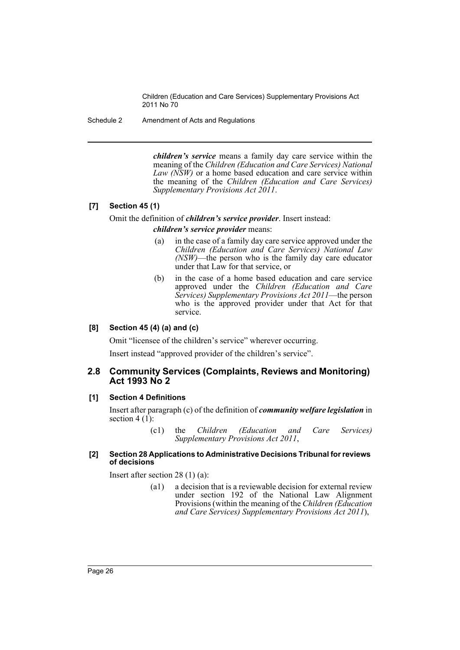Schedule 2 Amendment of Acts and Regulations

*children's service* means a family day care service within the meaning of the *Children (Education and Care Services) National Law (NSW)* or a home based education and care service within the meaning of the *Children (Education and Care Services) Supplementary Provisions Act 2011*.

### **[7] Section 45 (1)**

## Omit the definition of *children's service provider*. Insert instead: *children's service provider* means:

- (a) in the case of a family day care service approved under the *Children (Education and Care Services) National Law (NSW)*—the person who is the family day care educator under that Law for that service, or
- (b) in the case of a home based education and care service approved under the *Children (Education and Care Services) Supplementary Provisions Act 2011*—the person who is the approved provider under that Act for that service.

### **[8] Section 45 (4) (a) and (c)**

Omit "licensee of the children's service" wherever occurring.

Insert instead "approved provider of the children's service".

### **2.8 Community Services (Complaints, Reviews and Monitoring) Act 1993 No 2**

### **[1] Section 4 Definitions**

Insert after paragraph (c) of the definition of *community welfare legislation* in section 4  $(1)$ :

> (c1) the *Children (Education and Care Services) Supplementary Provisions Act 2011*,

### **[2] Section 28 Applications to Administrative Decisions Tribunal for reviews of decisions**

Insert after section 28 (1) (a):

(a1) a decision that is a reviewable decision for external review under section 192 of the National Law Alignment Provisions (within the meaning of the *Children (Education and Care Services) Supplementary Provisions Act 2011*),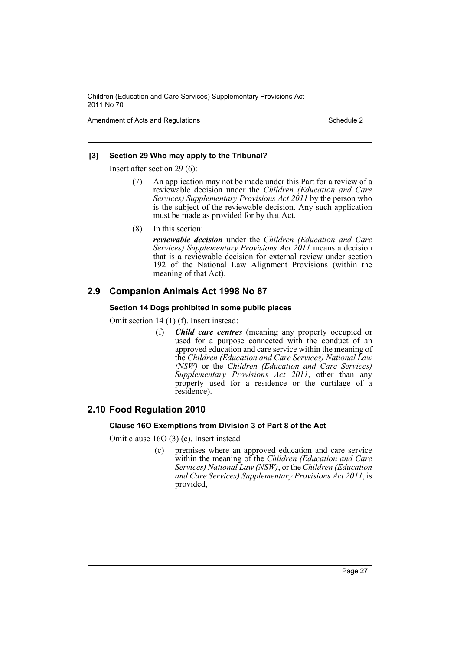Amendment of Acts and Regulations Schedule 2

### **[3] Section 29 Who may apply to the Tribunal?**

Insert after section 29 (6):

- (7) An application may not be made under this Part for a review of a reviewable decision under the *Children (Education and Care Services) Supplementary Provisions Act 2011* by the person who is the subject of the reviewable decision. Any such application must be made as provided for by that Act.
- (8) In this section:

*reviewable decision* under the *Children (Education and Care Services) Supplementary Provisions Act 2011* means a decision that is a reviewable decision for external review under section 192 of the National Law Alignment Provisions (within the meaning of that Act).

# **2.9 Companion Animals Act 1998 No 87**

### **Section 14 Dogs prohibited in some public places**

Omit section 14 (1) (f). Insert instead:

(f) *Child care centres* (meaning any property occupied or used for a purpose connected with the conduct of an approved education and care service within the meaning of the *Children (Education and Care Services) National Law (NSW)* or the *Children (Education and Care Services) Supplementary Provisions Act 2011*, other than any property used for a residence or the curtilage of a residence).

# **2.10 Food Regulation 2010**

### **Clause 16O Exemptions from Division 3 of Part 8 of the Act**

Omit clause 16O (3) (c). Insert instead

(c) premises where an approved education and care service within the meaning of the *Children (Education and Care Services) National Law (NSW)*, or the *Children (Education and Care Services) Supplementary Provisions Act 2011*, is provided,